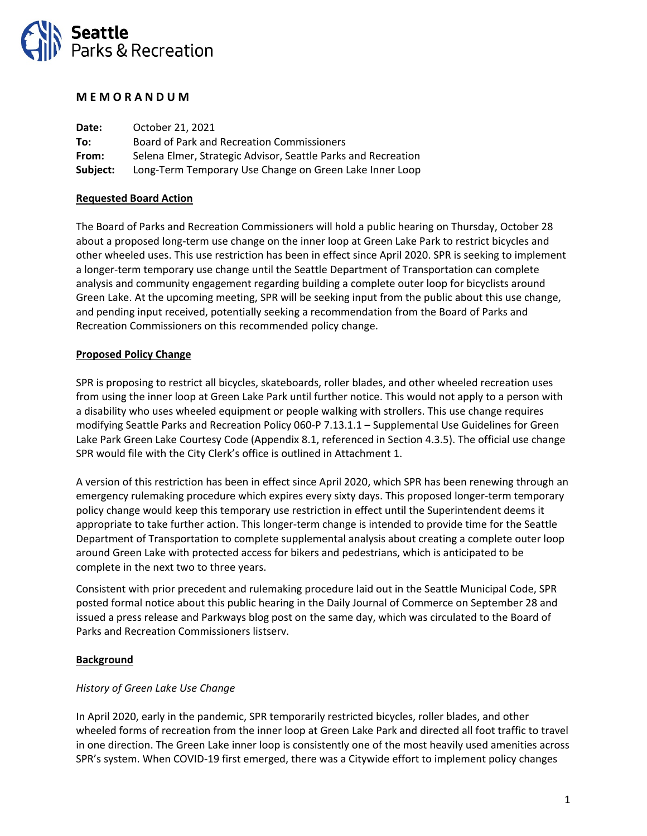

#### **M E M O R A N D U M**

| Date:    | October 21, 2021                                              |
|----------|---------------------------------------------------------------|
| To:      | Board of Park and Recreation Commissioners                    |
| From:    | Selena Elmer, Strategic Advisor, Seattle Parks and Recreation |
| Subject: | Long-Term Temporary Use Change on Green Lake Inner Loop       |

## **Requested Board Action**

The Board of Parks and Recreation Commissioners will hold a public hearing on Thursday, October 28 about a proposed long-term use change on the inner loop at Green Lake Park to restrict bicycles and other wheeled uses. This use restriction has been in effect since April 2020. SPR is seeking to implement a longer-term temporary use change until the Seattle Department of Transportation can complete analysis and community engagement regarding building a complete outer loop for bicyclists around Green Lake. At the upcoming meeting, SPR will be seeking input from the public about this use change, and pending input received, potentially seeking a recommendation from the Board of Parks and Recreation Commissioners on this recommended policy change.

#### **Proposed Policy Change**

SPR is proposing to restrict all bicycles, skateboards, roller blades, and other wheeled recreation uses from using the inner loop at Green Lake Park until further notice. This would not apply to a person with a disability who uses wheeled equipment or people walking with strollers. This use change requires modifying Seattle Parks and Recreation Policy 060-P 7.13.1.1 – Supplemental Use Guidelines for Green Lake Park Green Lake Courtesy Code (Appendix 8.1, referenced in Section 4.3.5). The official use change SPR would file with the City Clerk's office is outlined in Attachment 1.

A version of this restriction has been in effect since April 2020, which SPR has been renewing through an emergency rulemaking procedure which expires every sixty days. This proposed longer-term temporary policy change would keep this temporary use restriction in effect until the Superintendent deems it appropriate to take further action. This longer-term change is intended to provide time for the Seattle Department of Transportation to complete supplemental analysis about creating a complete outer loop around Green Lake with protected access for bikers and pedestrians, which is anticipated to be complete in the next two to three years.

Consistent with prior precedent and rulemaking procedure laid out in the Seattle Municipal Code, SPR posted formal notice about this public hearing in the Daily Journal of Commerce on September 28 and issued a press release and Parkways blog post on the same day, which was circulated to the Board of Parks and Recreation Commissioners listserv.

## **Background**

#### *History of Green Lake Use Change*

In April 2020, early in the pandemic, SPR temporarily restricted bicycles, roller blades, and other wheeled forms of recreation from the inner loop at Green Lake Park and directed all foot traffic to travel in one direction. The Green Lake inner loop is consistently one of the most heavily used amenities across SPR's system. When COVID-19 first emerged, there was a Citywide effort to implement policy changes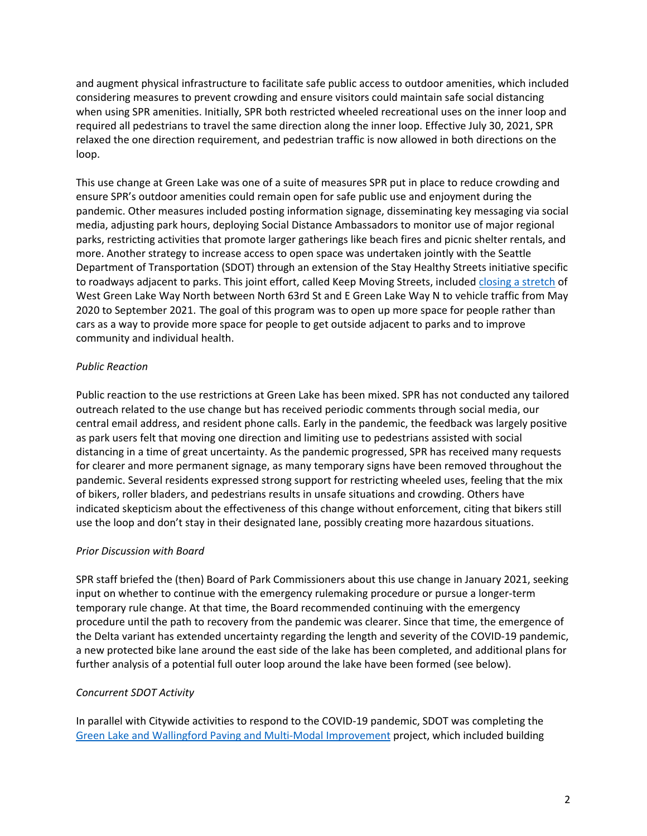and augment physical infrastructure to facilitate safe public access to outdoor amenities, which included considering measures to prevent crowding and ensure visitors could maintain safe social distancing when using SPR amenities. Initially, SPR both restricted wheeled recreational uses on the inner loop and required all pedestrians to travel the same direction along the inner loop. Effective July 30, 2021, SPR relaxed the one direction requirement, and pedestrian traffic is now allowed in both directions on the loop.

This use change at Green Lake was one of a suite of measures SPR put in place to reduce crowding and ensure SPR's outdoor amenities could remain open for safe public use and enjoyment during the pandemic. Other measures included posting information signage, disseminating key messaging via social media, adjusting park hours, deploying Social Distance Ambassadors to monitor use of major regional parks, restricting activities that promote larger gatherings like beach fires and picnic shelter rentals, and more. Another strategy to increase access to open space was undertaken jointly with the Seattle Department of Transportation (SDOT) through an extension of the Stay Healthy Streets initiative specific to roadways adjacent to parks. This joint effort, called Keep Moving Streets, included [closing a](https://www.seattle.gov/transportation/projects-and-programs/programs/stay-healthy-streets/green-lake-keep-moving-street) stretch of West Green Lake Way North between North 63rd St and E Green Lake Way N to vehicle traffic from May 2020 to September 2021. The goal of this program was to open up more space for people rather than cars as a way to provide more space for people to get outside adjacent to parks and to improve community and individual health.

## *Public Reaction*

Public reaction to the use restrictions at Green Lake has been mixed. SPR has not conducted any tailored outreach related to the use change but has received periodic comments through social media, our central email address, and resident phone calls. Early in the pandemic, the feedback was largely positive as park users felt that moving one direction and limiting use to pedestrians assisted with social distancing in a time of great uncertainty. As the pandemic progressed, SPR has received many requests for clearer and more permanent signage, as many temporary signs have been removed throughout the pandemic. Several residents expressed strong support for restricting wheeled uses, feeling that the mix of bikers, roller bladers, and pedestrians results in unsafe situations and crowding. Others have indicated skepticism about the effectiveness of this change without enforcement, citing that bikers still use the loop and don't stay in their designated lane, possibly creating more hazardous situations.

## *Prior Discussion with Board*

SPR staff briefed the (then) Board of Park Commissioners about this use change in January 2021, seeking input on whether to continue with the emergency rulemaking procedure or pursue a longer-term temporary rule change. At that time, the Board recommended continuing with the emergency procedure until the path to recovery from the pandemic was clearer. Since that time, the emergence of the Delta variant has extended uncertainty regarding the length and severity of the COVID-19 pandemic, a new protected bike lane around the east side of the lake has been completed, and additional plans for further analysis of a potential full outer loop around the lake have been formed (see below).

# *Concurrent SDOT Activity*

In parallel with Citywide activities to respond to the COVID-19 pandemic, SDOT was completing the [Green Lake and Wallingford Paving and Multi-Modal Improvement](https://www.seattle.gov/transportation/projects-and-programs/programs/maintenance-and-paving/current-paving-projects/green-lake-area-paving-and-safety-projects) project, which included building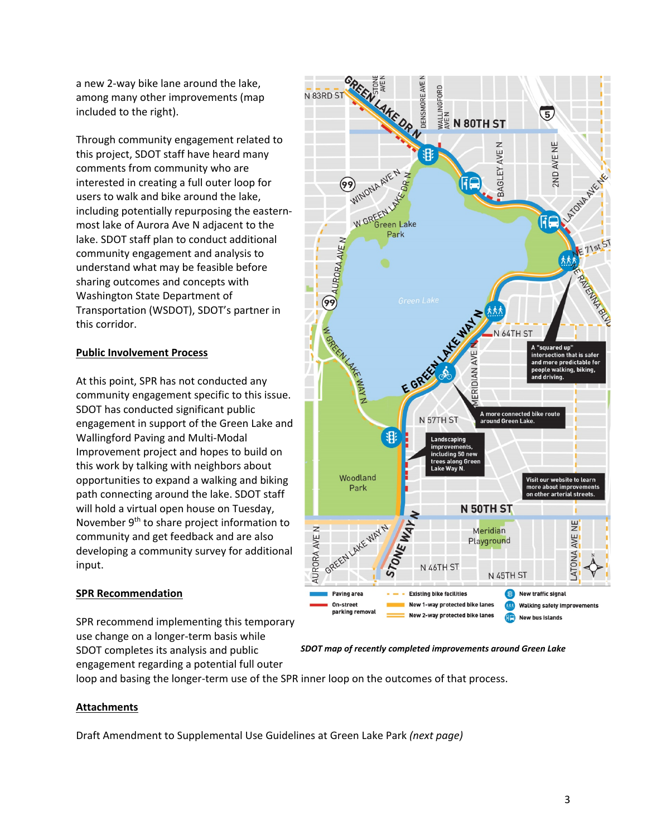a new 2-way bike lane around the lake, among many other improvements (map included to the right).

Through community engagement related to this project, SDOT staff have heard many comments from community who are interested in creating a full outer loop for users to walk and bike around the lake, including potentially repurposing the easternmost lake of Aurora Ave N adjacent to the lake. SDOT staff plan to conduct additional community engagement and analysis to understand what may be feasible before sharing outcomes and concepts with Washington State Department of Transportation (WSDOT), SDOT's partner in this corridor.

## **Public Involvement Process**

At this point, SPR has not conducted any community engagement specific to this issue. SDOT has conducted significant public engagement in support of the Green Lake and Wallingford Paving and Multi-Modal Improvement project and hopes to build on this work by talking with neighbors about opportunities to expand a walking and biking path connecting around the lake. SDOT staff will hold a virtual open house on Tuesday, November 9<sup>th</sup> to share project information to community and get feedback and are also developing a community survey for additional input.

## **SPR Recommendation**

SPR recommend implementing this temporary use change on a longer-term basis while SDOT completes its analysis and public engagement regarding a potential full outer

GREEN AKE OR N DENSMORE AVE **E**<br>Milke<br>In 1907 HST N 83RD ST  $\overline{5}$ 2ND AVE NE AVE N **BAGLEY** een Lake Park 4TH<sub>ST</sub> A "squared up"<br>intersection that is safer and more predictable for E GREE ple walking, biking, drivina A more connected bike route<br>around Green Lake. N 57TH ST | 18 Landscaping improvem .<br>cluding 50 nev ia Gree Woodland Visit our website to learn more about improvement<br>on other arterial streets Park **N 50TH ST** GREEN LAKE WAY N 罢 AURORA AVE N Meridian AVE N Playground ATONA A N 46TH ST N 45TH ST New traffic signal aving area **Existing bike facilities B** New 1-way protected bike lanes On-street 大大大 Walking safety improvements parking removal New 2-way protected bike lanes

*SDOT map of recently completed improvements around Green Lake*

loop and basing the longer-term use of the SPR inner loop on the outcomes of that process.

## **Attachments**

Draft Amendment to Supplemental Use Guidelines at Green Lake Park *(next page)*

**New bus islands**